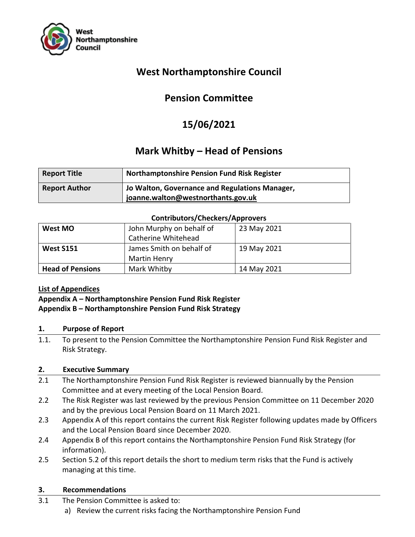

## **West Northamptonshire Council**

# **Pension Committee**

# **15/06/2021**

## **Mark Whitby – Head of Pensions**

| <b>Report Title</b>  | <b>Northamptonshire Pension Fund Risk Register</b>                                   |
|----------------------|--------------------------------------------------------------------------------------|
| <b>Report Author</b> | Jo Walton, Governance and Regulations Manager,<br>joanne.walton@westnorthants.gov.uk |

#### **Contributors/Checkers/Approvers**

| West MO                 | John Murphy on behalf of | 23 May 2021 |  |  |
|-------------------------|--------------------------|-------------|--|--|
|                         | Catherine Whitehead      |             |  |  |
| <b>West S151</b>        | James Smith on behalf of | 19 May 2021 |  |  |
|                         | <b>Martin Henry</b>      |             |  |  |
| <b>Head of Pensions</b> | Mark Whitby              | 14 May 2021 |  |  |

#### **List of Appendices**

#### **Appendix A – Northamptonshire Pension Fund Risk Register Appendix B – Northamptonshire Pension Fund Risk Strategy**

#### **1. Purpose of Report**

1.1. To present to the Pension Committee the Northamptonshire Pension Fund Risk Register and Risk Strategy.

#### **2. Executive Summary**

- 2.1 The Northamptonshire Pension Fund Risk Register is reviewed biannually by the Pension Committee and at every meeting of the Local Pension Board.
- 2.2 The Risk Register was last reviewed by the previous Pension Committee on 11 December 2020 and by the previous Local Pension Board on 11 March 2021.
- 2.3 Appendix A of this report contains the current Risk Register following updates made by Officers and the Local Pension Board since December 2020.
- 2.4 Appendix B of this report contains the Northamptonshire Pension Fund Risk Strategy (for information).
- 2.5 Section 5.2 of this report details the short to medium term risks that the Fund is actively managing at this time.

#### **3. Recommendations**

- 3.1 The Pension Committee is asked to:
	- a) Review the current risks facing the Northamptonshire Pension Fund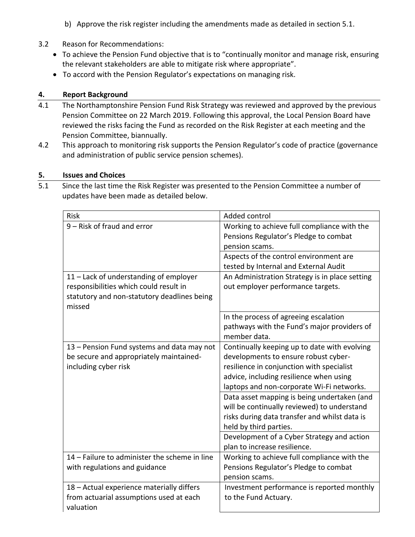- b) Approve the risk register including the amendments made as detailed in section 5.1.
- 3.2 Reason for Recommendations:
	- To achieve the Pension Fund objective that is to "continually monitor and manage risk, ensuring the relevant stakeholders are able to mitigate risk where appropriate".
	- To accord with the Pension Regulator's expectations on managing risk.

### **4. Report Background**

- 4.1 The Northamptonshire Pension Fund Risk Strategy was reviewed and approved by the previous Pension Committee on 22 March 2019. Following this approval, the Local Pension Board have reviewed the risks facing the Fund as recorded on the Risk Register at each meeting and the Pension Committee, biannually.
- 4.2 This approach to monitoring risk supports the Pension Regulator's code of practice (governance and administration of public service pension schemes).

#### **5. Issues and Choices**

5.1 Since the last time the Risk Register was presented to the Pension Committee a number of updates have been made as detailed below.

| Risk                                          | Added control                                  |
|-----------------------------------------------|------------------------------------------------|
| 9 - Risk of fraud and error                   | Working to achieve full compliance with the    |
|                                               | Pensions Regulator's Pledge to combat          |
|                                               | pension scams.                                 |
|                                               | Aspects of the control environment are         |
|                                               | tested by Internal and External Audit          |
| 11 - Lack of understanding of employer        | An Administration Strategy is in place setting |
| responsibilities which could result in        | out employer performance targets.              |
| statutory and non-statutory deadlines being   |                                                |
| missed                                        |                                                |
|                                               | In the process of agreeing escalation          |
|                                               | pathways with the Fund's major providers of    |
|                                               | member data.                                   |
| 13 - Pension Fund systems and data may not    | Continually keeping up to date with evolving   |
| be secure and appropriately maintained-       | developments to ensure robust cyber-           |
| including cyber risk                          | resilience in conjunction with specialist      |
|                                               | advice, including resilience when using        |
|                                               | laptops and non-corporate Wi-Fi networks.      |
|                                               | Data asset mapping is being undertaken (and    |
|                                               | will be continually reviewed) to understand    |
|                                               | risks during data transfer and whilst data is  |
|                                               | held by third parties.                         |
|                                               | Development of a Cyber Strategy and action     |
|                                               | plan to increase resilience.                   |
| 14 - Failure to administer the scheme in line | Working to achieve full compliance with the    |
| with regulations and guidance                 | Pensions Regulator's Pledge to combat          |
|                                               | pension scams.                                 |
| 18 - Actual experience materially differs     | Investment performance is reported monthly     |
| from actuarial assumptions used at each       | to the Fund Actuary.                           |
| valuation                                     |                                                |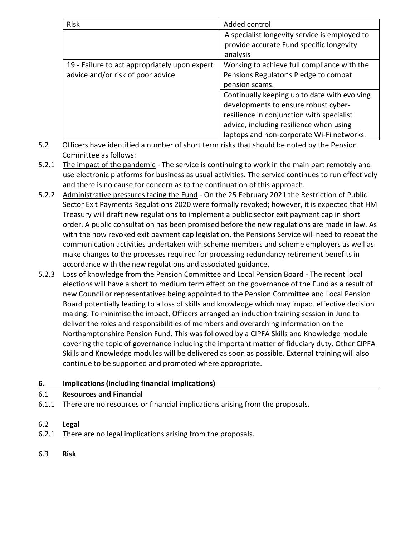| <b>Risk</b>                                   | Added control                                 |  |
|-----------------------------------------------|-----------------------------------------------|--|
|                                               | A specialist longevity service is employed to |  |
|                                               | provide accurate Fund specific longevity      |  |
|                                               | analysis                                      |  |
| 19 - Failure to act appropriately upon expert | Working to achieve full compliance with the   |  |
| advice and/or risk of poor advice             | Pensions Regulator's Pledge to combat         |  |
|                                               | pension scams.                                |  |
|                                               | Continually keeping up to date with evolving  |  |
|                                               | developments to ensure robust cyber-          |  |
|                                               | resilience in conjunction with specialist     |  |
|                                               | advice, including resilience when using       |  |
|                                               | laptops and non-corporate Wi-Fi networks.     |  |

- 5.2 Officers have identified a number of short term risks that should be noted by the Pension Committee as follows:
- 5.2.1 The impact of the pandemic The service is continuing to work in the main part remotely and use electronic platforms for business as usual activities. The service continues to run effectively and there is no cause for concern as to the continuation of this approach.
- 5.2.2 Administrative pressures facing the Fund On the 25 February 2021 the Restriction of Public Sector Exit Payments Regulations 2020 were formally revoked; however, it is expected that HM Treasury will draft new regulations to implement a public sector exit payment cap in short order. A public consultation has been promised before the new regulations are made in law. As with the now revoked exit payment cap legislation, the Pensions Service will need to repeat the communication activities undertaken with scheme members and scheme employers as well as make changes to the processes required for processing redundancy retirement benefits in accordance with the new regulations and associated guidance.
- 5.2.3 Loss of knowledge from the Pension Committee and Local Pension Board The recent local elections will have a short to medium term effect on the governance of the Fund as a result of new Councillor representatives being appointed to the Pension Committee and Local Pension Board potentially leading to a loss of skills and knowledge which may impact effective decision making. To minimise the impact, Officers arranged an induction training session in June to deliver the roles and responsibilities of members and overarching information on the Northamptonshire Pension Fund. This was followed by a CIPFA Skills and Knowledge module covering the topic of governance including the important matter of fiduciary duty. Other CIPFA Skills and Knowledge modules will be delivered as soon as possible. External training will also continue to be supported and promoted where appropriate.

### **6. Implications (including financial implications)**

#### 6.1 **Resources and Financial**

6.1.1 There are no resources or financial implications arising from the proposals.

#### 6.2 **Legal**

- 6.2.1 There are no legal implications arising from the proposals.
- 6.3 **Risk**